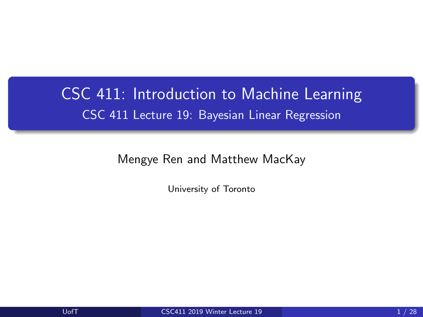## <span id="page-0-0"></span>CSC 411: Introduction to Machine Learning CSC 411 Lecture 19: Bayesian Linear Regression

Mengye Ren and Matthew MacKay

University of Toronto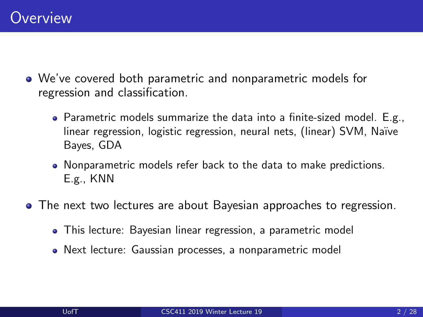- We've covered both parametric and nonparametric models for regression and classification.
	- Parametric models summarize the data into a finite-sized model. E.g., linear regression, logistic regression, neural nets, (linear) SVM, Naïve Bayes, GDA
	- Nonparametric models refer back to the data to make predictions. E.g., KNN
- The next two lectures are about Bayesian approaches to regression.
	- This lecture: Bayesian linear regression, a parametric model
	- Next lecture: Gaussian processes, a nonparametric model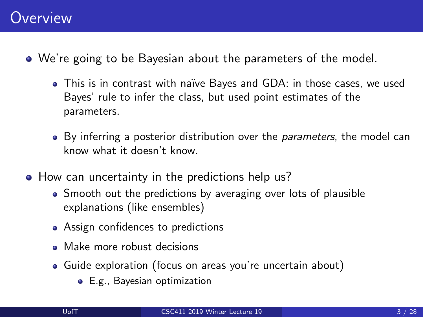- We're going to be Bayesian about the parameters of the model.
	- This is in contrast with na¨ıve Bayes and GDA: in those cases, we used Bayes' rule to infer the class, but used point estimates of the parameters.
	- By inferring a posterior distribution over the *parameters*, the model can know what it doesn't know.
- How can uncertainty in the predictions help us?
	- Smooth out the predictions by averaging over lots of plausible explanations (like ensembles)
	- Assign confidences to predictions
	- Make more robust decisions
	- Guide exploration (focus on areas you're uncertain about)
		- E.g., Bayesian optimization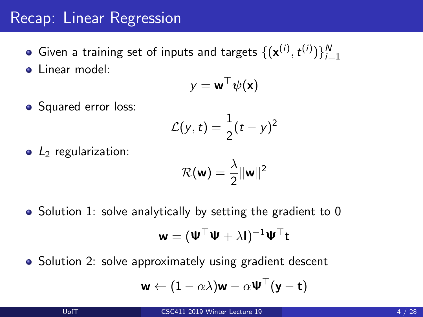### Recap: Linear Regression

Given a training set of inputs and targets  $\{(\mathbf{x}^{(i)}, t^{(i)})\}_{i=1}^N$ linear model:

$$
\textbf{y} = \textbf{w}^\top \boldsymbol{\psi}(\textbf{x})
$$

• Squared error loss:

$$
\mathcal{L}(y,t)=\frac{1}{2}(t-y)^2
$$

 $\bullet$  L<sub>2</sub> regularization:

$$
\mathcal{R}(\mathbf{w}) = \frac{\lambda}{2} \|\mathbf{w}\|^2
$$

• Solution 1: solve analytically by setting the gradient to 0

$$
\textbf{w} = (\textbf{W}^\top \textbf{W} + \lambda \textbf{I})^{-1} \textbf{W}^\top \textbf{t}
$$

• Solution 2: solve approximately using gradient descent

$$
\textbf{w} \leftarrow (1-\alpha\lambda)\textbf{w} - \alpha\textbf{\Psi}^\top(\textbf{y}-\textbf{t})
$$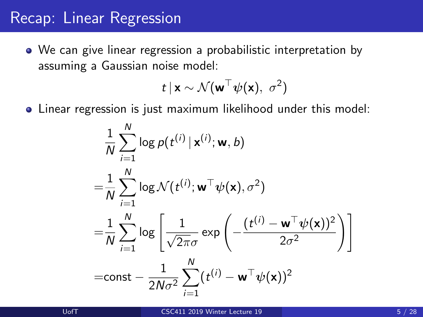#### Recap: Linear Regression

We can give linear regression a probabilistic interpretation by assuming a Gaussian noise model:

$$
t\,|\,\mathbf{x}\sim\mathcal{N}(\mathbf{w}^\top\boldsymbol{\psi}(\mathbf{x}),\;\sigma^2)
$$

Linear regression is just maximum likelihood under this model:

$$
\frac{1}{N} \sum_{i=1}^{N} \log p(t^{(i)} | \mathbf{x}^{(i)}; \mathbf{w}, b)
$$
\n
$$
= \frac{1}{N} \sum_{i=1}^{N} \log \mathcal{N}(t^{(i)}; \mathbf{w}^{\top} \psi(\mathbf{x}), \sigma^{2})
$$
\n
$$
= \frac{1}{N} \sum_{i=1}^{N} \log \left[ \frac{1}{\sqrt{2\pi}\sigma} \exp \left( -\frac{(t^{(i)} - \mathbf{w}^{\top} \psi(\mathbf{x}))^{2}}{2\sigma^{2}} \right) \right]
$$
\n=const -  $\frac{1}{2N\sigma^{2}} \sum_{i=1}^{N} (t^{(i)} - \mathbf{w}^{\top} \psi(\mathbf{x}))^{2}$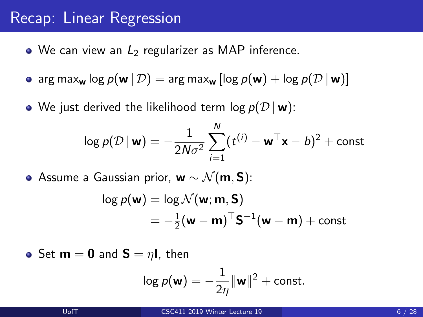### Recap: Linear Regression

- $\bullet$  We can view an  $L_2$  regularizer as MAP inference.
- arg max<sub>w</sub> log  $p(\mathbf{w} | \mathcal{D}) = \arg \max_{\mathbf{w}} [\log p(\mathbf{w}) + \log p(\mathcal{D} | \mathbf{w})]$
- We just derived the likelihood term  $log p(D | w)$ :

$$
\log p(\mathcal{D} \,|\, \mathbf{w}) = -\frac{1}{2N\sigma^2} \sum_{i=1}^N (t^{(i)} - \mathbf{w}^\top \mathbf{x} - b)^2 + \text{const}
$$

 $\bullet$  Assume a Gaussian prior, w  $\sim \mathcal{N}(m, S)$ :

$$
\log p(\mathbf{w}) = \log \mathcal{N}(\mathbf{w}; \mathbf{m}, \mathbf{S})
$$
  
=  $-\frac{1}{2}(\mathbf{w} - \mathbf{m})^{\top} \mathbf{S}^{-1}(\mathbf{w} - \mathbf{m}) + \text{const}$ 

• Set  $m = 0$  and  $S = \eta I$ , then

$$
\log p(\mathbf{w}) = -\frac{1}{2\eta} \|\mathbf{w}\|^2 + \text{const.}
$$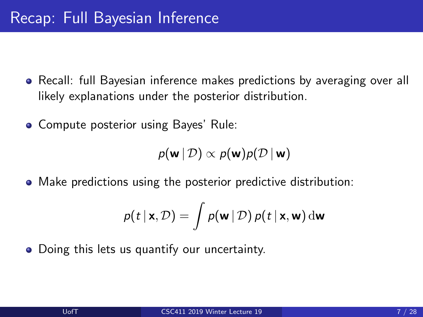- Recall: full Bayesian inference makes predictions by averaging over all likely explanations under the posterior distribution.
- Compute posterior using Bayes' Rule:

 $p(\mathbf{w} \mid \mathcal{D}) \propto p(\mathbf{w})p(\mathcal{D} \mid \mathbf{w})$ 

Make predictions using the posterior predictive distribution:

$$
p(t | \mathbf{x}, \mathcal{D}) = \int p(\mathbf{w} | \mathcal{D}) p(t | \mathbf{x}, \mathbf{w}) \, \mathrm{d}\mathbf{w}
$$

• Doing this lets us quantify our uncertainty.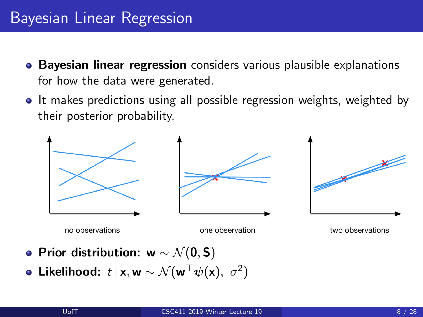## Bayesian Linear Regression

- **Bayesian linear regression** considers various plausible explanations for how the data were generated.
- It makes predictions using all possible regression weights, weighted by their posterior probability.



- Prior distribution: w  $\sim \mathcal{N}(0, S)$
- Likelihood:  $t \,|\, \mathsf{x}, \mathsf{w} \sim \mathcal{N}(\mathsf{w}^\top \psi(\mathsf{x}),~\sigma^2)$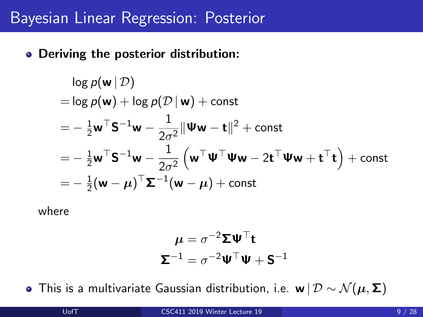### Bayesian Linear Regression: Posterior

Deriving the posterior distribution:

$$
\log p(\mathbf{w} | \mathcal{D})
$$
  
= log p(\mathbf{w}) + log p(\mathcal{D} | \mathbf{w}) + const  
=  $-\frac{1}{2}\mathbf{w}^{\top} \mathbf{S}^{-1} \mathbf{w} - \frac{1}{2\sigma^2} ||\mathbf{W}\mathbf{w} - \mathbf{t}||^2 + \text{const}$   
=  $-\frac{1}{2}\mathbf{w}^{\top} \mathbf{S}^{-1} \mathbf{w} - \frac{1}{2\sigma^2} \left( \mathbf{w}^{\top} \mathbf{W}^{\top} \mathbf{W}\mathbf{w} - 2\mathbf{t}^{\top} \mathbf{W}\mathbf{w} + \mathbf{t}^{\top} \mathbf{t} \right) + \text{const}$   
=  $-\frac{1}{2} (\mathbf{w} - \boldsymbol{\mu})^{\top} \mathbf{\Sigma}^{-1} (\mathbf{w} - \boldsymbol{\mu}) + \text{const}$ 

where

$$
\mu = \sigma^{-2} \Sigma \Psi^{\top} t
$$

$$
\Sigma^{-1} = \sigma^{-2} \Psi^{\top} \Psi + S^{-1}
$$

• This is a multivariate Gaussian distribution, i.e. w  $|\mathcal{D} \sim \mathcal{N}(\boldsymbol{\mu}, \boldsymbol{\Sigma})|$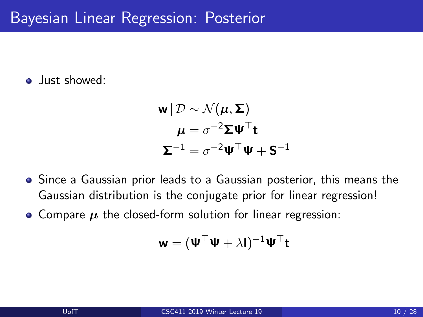**o** lust showed:

$$
\mathbf{w} | \mathcal{D} \sim \mathcal{N}(\boldsymbol{\mu}, \boldsymbol{\Sigma})
$$

$$
\boldsymbol{\mu} = \sigma^{-2} \boldsymbol{\Sigma} \mathbf{\Psi}^{\top} \mathbf{t}
$$

$$
\boldsymbol{\Sigma}^{-1} = \sigma^{-2} \mathbf{\Psi}^{\top} \mathbf{\Psi} + \mathbf{S}^{-1}
$$

- Since a Gaussian prior leads to a Gaussian posterior, this means the Gaussian distribution is the conjugate prior for linear regression!
- Compare  $\mu$  the closed-form solution for linear regression:

$$
\textbf{w} = (\textbf{W}^\top \textbf{W} + \lambda \textbf{I})^{-1} \textbf{W}^\top \textbf{t}
$$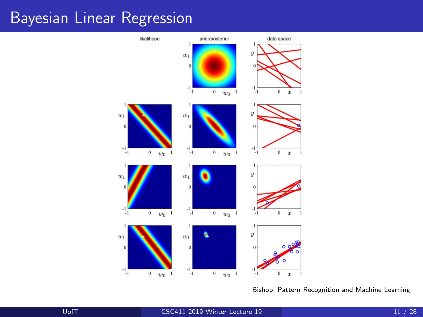#### Bayesian Linear Regression



— Bishop, Pattern Recognition and Machine Learning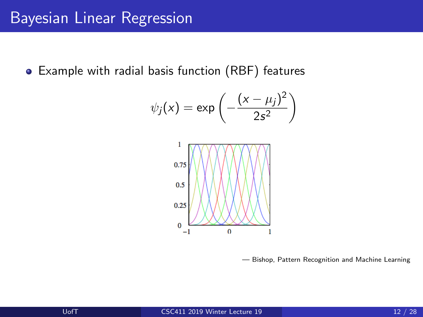Example with radial basis function (RBF) features

$$
\psi_j(x) = \exp\left(-\frac{(x-\mu_j)^2}{2s^2}\right)
$$



— Bishop, Pattern Recognition and Machine Learning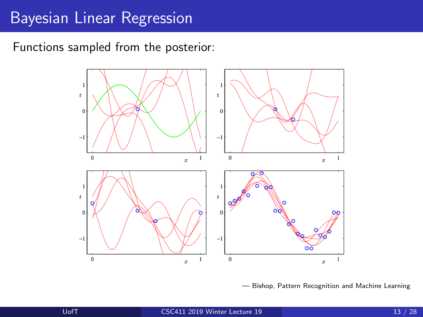### Bayesian Linear Regression

Functions sampled from the posterior:



— Bishop, Pattern Recognition and Machine Learning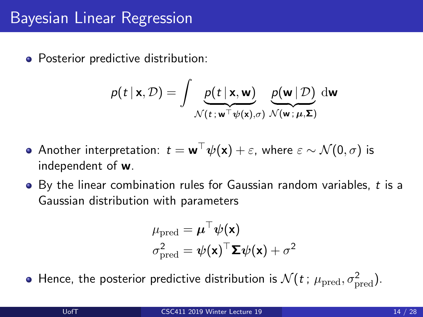• Posterior predictive distribution:

$$
p(t | \mathbf{x}, \mathcal{D}) = \int \underbrace{p(t | \mathbf{x}, \mathbf{w})}_{\mathcal{N}(t; \mathbf{w}^\top \boldsymbol{\psi}(\mathbf{x}), \sigma)} \underbrace{p(\mathbf{w} | \mathcal{D})}_{\mathcal{N}(\mathbf{w}; \boldsymbol{\mu}, \boldsymbol{\Sigma})} d\mathbf{w}
$$

- Another interpretation:  $t = \mathbf{w}^\top \psi(\mathbf{x}) + \varepsilon$ , where  $\varepsilon \sim \mathcal{N}(0, \sigma)$  is independent of w.
- $\bullet$  By the linear combination rules for Gaussian random variables, t is a Gaussian distribution with parameters

$$
\mu_{\text{pred}} = \boldsymbol{\mu}^{\top} \boldsymbol{\psi}(\mathbf{x})
$$

$$
\sigma_{\text{pred}}^{2} = \boldsymbol{\psi}(\mathbf{x})^{\top} \boldsymbol{\Sigma} \boldsymbol{\psi}(\mathbf{x}) + \sigma^{2}
$$

Hence, the posterior predictive distribution is  $\mathcal{N}(t$  ;  $\mu_\text{pred}, \sigma_\text{pred}^2)$ .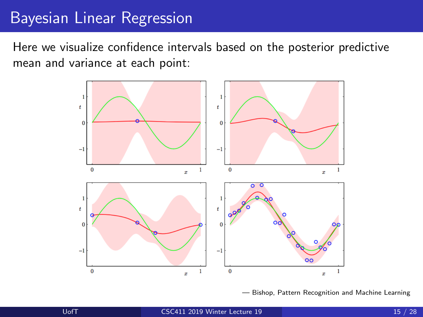## Bayesian Linear Regression

Here we visualize confidence intervals based on the posterior predictive mean and variance at each point:



— Bishop, Pattern Recognition and Machine Learning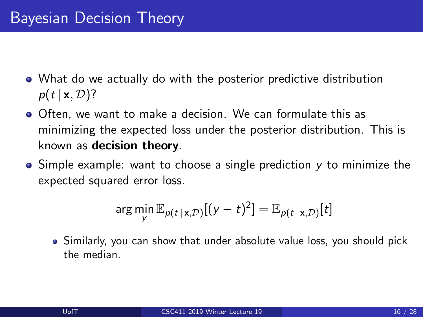- What do we actually do with the posterior predictive distribution  $p(t | \mathbf{x}, \mathcal{D})$ ?
- Often, we want to make a decision. We can formulate this as minimizing the expected loss under the posterior distribution. This is known as decision theory.
- $\bullet$  Simple example: want to choose a single prediction y to minimize the expected squared error loss.

$$
\arg\min_{\mathbf{y}} \mathbb{E}_{p(t \mid \mathbf{x}, \mathcal{D})}[(\mathbf{y} - t)^2] = \mathbb{E}_{p(t \mid \mathbf{x}, \mathcal{D})}[t]
$$

Similarly, you can show that under absolute value loss, you should pick the median.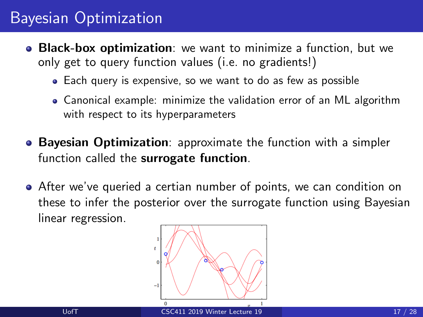## Bayesian Optimization

- **Black-box optimization**: we want to minimize a function, but we only get to query function values (i.e. no gradients!)
	- Each query is expensive, so we want to do as few as possible
	- Canonical example: minimize the validation error of an ML algorithm with respect to its hyperparameters
- **Bayesian Optimization**: approximate the function with a simpler function called the surrogate function.
- After we've queried a certian number of points, we can condition on these to infer the posterior over the surrogate function using Bayesian linear regression.

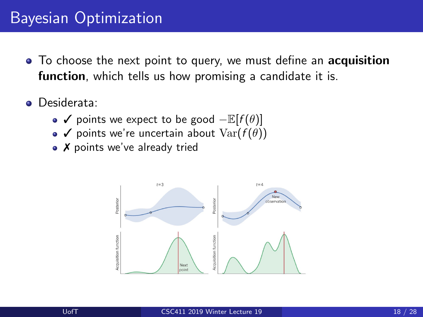## Bayesian Optimization

- To choose the next point to query, we must define an **acquisition** function, which tells us how promising a candidate it is.
- **o** Desiderata:
	- $\checkmark$  points we expect to be good  $-\mathbb{E}[f(\theta)]$
	- $\bullet \checkmark$  points we're uncertain about  $Var(f(\theta))$
	- X points we've already tried

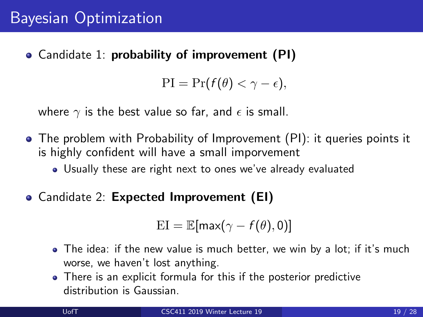Candidate 1: probability of improvement (PI)

$$
\mathrm{PI} = \mathrm{Pr}(f(\theta) < \gamma - \epsilon),
$$

where  $\gamma$  is the best value so far, and  $\epsilon$  is small.

- The problem with Probability of Improvement (PI): it queries points it is highly confident will have a small imporvement
	- Usually these are right next to ones we've already evaluated
- Candidate 2: Expected Improvement (EI)

$$
\mathrm{EI} = \mathbb{E}[\max(\gamma - f(\theta), 0)]
$$

- The idea: if the new value is much better, we win by a lot; if it's much worse, we haven't lost anything.
- There is an explicit formula for this if the posterior predictive distribution is Gaussian.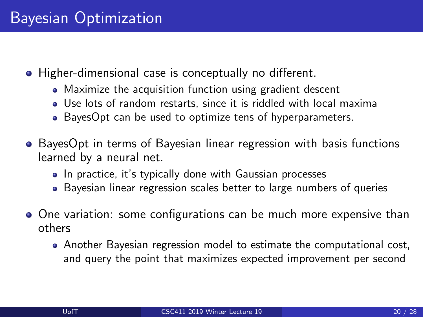- Higher-dimensional case is conceptually no different.
	- Maximize the acquisition function using gradient descent
	- Use lots of random restarts, since it is riddled with local maxima
	- BayesOpt can be used to optimize tens of hyperparameters.
- BayesOpt in terms of Bayesian linear regression with basis functions learned by a neural net.
	- In practice, it's typically done with Gaussian processes
	- Bayesian linear regression scales better to large numbers of queries
- One variation: some configurations can be much more expensive than others
	- Another Bayesian regression model to estimate the computational cost, and query the point that maximizes expected improvement per second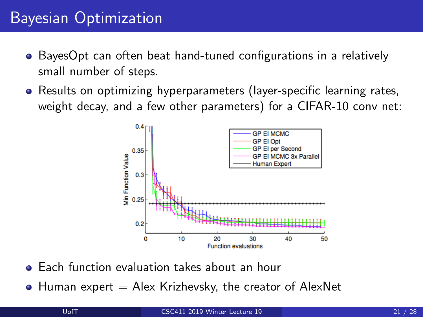## Bayesian Optimization

- BayesOpt can often beat hand-tuned configurations in a relatively small number of steps.
- Results on optimizing hyperparameters (layer-specific learning rates, weight decay, and a few other parameters) for a CIFAR-10 conv net:



- Each function evaluation takes about an hour
- $\bullet$  Human expert  $=$  Alex Krizhevsky, the creator of AlexNet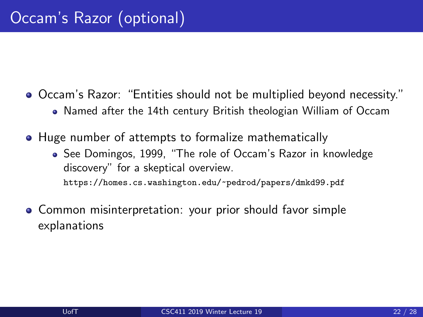- Occam's Razor: "Entities should not be multiplied beyond necessity." Named after the 14th century British theologian William of Occam
- Huge number of attempts to formalize mathematically
	- See Domingos, 1999, "The role of Occam's Razor in knowledge discovery" for a skeptical overview. <https://homes.cs.washington.edu/~pedrod/papers/dmkd99.pdf>
- Common misinterpretation: your prior should favor simple explanations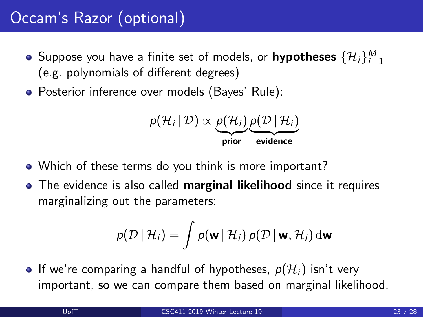## Occam's Razor (optional)

- Suppose you have a finite set of models, or  $\mathsf{hypotheses}\ \{\mathcal{H}_i\}_{i=1}^M$ (e.g. polynomials of different degrees)
- Posterior inference over models (Bayes' Rule):

$$
p(\mathcal{H}_i | \mathcal{D}) \propto \underbrace{p(\mathcal{H}_i)}_{\text{prior}} \underbrace{p(\mathcal{D} | \mathcal{H}_i)}_{\text{evidence}}
$$

- Which of these terms do you think is more important?
- The evidence is also called **marginal likelihood** since it requires marginalizing out the parameters:

$$
p(\mathcal{D} | \mathcal{H}_i) = \int p(\mathbf{w} | \mathcal{H}_i) p(\mathcal{D} | \mathbf{w}, \mathcal{H}_i) d\mathbf{w}
$$

• If we're comparing a handful of hypotheses,  $p(\mathcal{H}_i)$  isn't very important, so we can compare them based on marginal likelihood.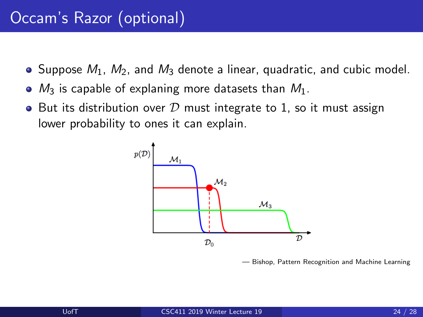- $\bullet$  Suppose  $M_1$ ,  $M_2$ , and  $M_3$  denote a linear, quadratic, and cubic model.
- $\bullet$   $M_3$  is capable of explaning more datasets than  $M_1$ .
- But its distribution over  $D$  must integrate to 1, so it must assign lower probability to ones it can explain.



— Bishop, Pattern Recognition and Machine Learning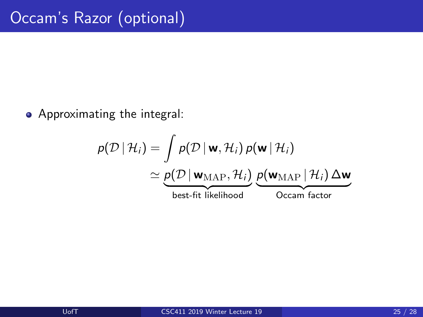Approximating the integral:

$$
p(\mathcal{D} | \mathcal{H}_i) = \int p(\mathcal{D} | \mathbf{w}, \mathcal{H}_i) p(\mathbf{w} | \mathcal{H}_i)
$$
  
\n
$$
\simeq \underbrace{p(\mathcal{D} | \mathbf{w}_{MAP}, \mathcal{H}_i)}_{\text{best-fit likelihood}} \underbrace{p(\mathbf{w}_{MAP} | \mathcal{H}_i) \Delta \mathbf{w}}_{\text{Occam factor}}
$$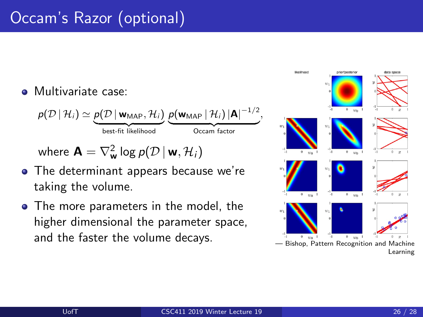# Occam's Razor (optional)

#### **•** Multivariate case:

$$
p(\mathcal{D} | \mathcal{H}_i) \simeq \underbrace{p(\mathcal{D} | \mathbf{w}_{MAP}, \mathcal{H}_i)}_{\text{best-fit likelihood}} \underbrace{p(\mathbf{w}_{MAP} | \mathcal{H}_i) | \mathbf{A} |^{-1/2}}_{\text{Occam factor}},
$$

where  $\mathbf{A} = \nabla^2_{\mathbf{w}} \log p(\mathcal{D} \, | \, \mathbf{w}, \mathcal{H}_i)$ 

- The determinant appears because we're taking the volume.
- The more parameters in the model, the higher dimensional the parameter space, and the faster the volume decays.<br>— Bishop, Pattern Recognition and Machine

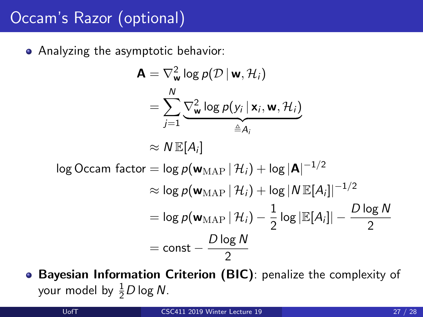## Occam's Razor (optional)

Analyzing the asymptotic behavior:

$$
\mathbf{A} = \nabla_{\mathbf{w}}^2 \log p(\mathcal{D} | \mathbf{w}, \mathcal{H}_i)
$$
  
\n
$$
= \sum_{j=1}^N \underbrace{\nabla_{\mathbf{w}}^2 \log p(\mathbf{y}_i | \mathbf{x}_i, \mathbf{w}, \mathcal{H}_i)}_{\triangleq A_i}
$$
  
\n
$$
\approx N \mathbb{E}[A_i]
$$
  
\n
$$
\approx N \mathbb{E}[A_i]
$$
  
\n
$$
\approx \log p(\mathbf{w}_{MAP} | \mathcal{H}_i) + \log |\mathbf{A}|^{-1/2}
$$
  
\n
$$
\approx \log p(\mathbf{w}_{MAP} | \mathcal{H}_i) + \log |N \mathbb{E}[A_i]|^{-1/2}
$$
  
\n
$$
= \log p(\mathbf{w}_{MAP} | \mathcal{H}_i) - \frac{1}{2} \log |\mathbb{E}[A_i]| - \frac{D \log N}{2}
$$
  
\n
$$
= \text{const} - \frac{D \log N}{2}
$$

Bayesian Information Criterion (BIC): penalize the complexity of your model by  $\frac{1}{2}D$  log N.